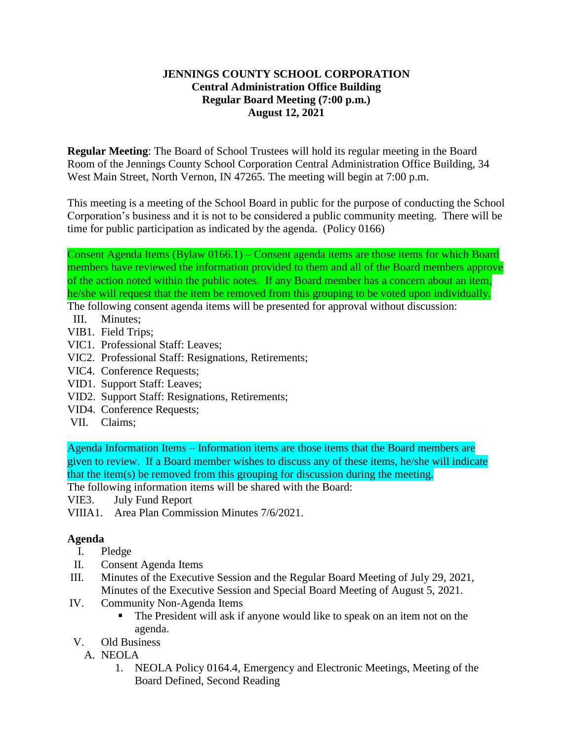## **JENNINGS COUNTY SCHOOL CORPORATION Central Administration Office Building Regular Board Meeting (7:00 p.m.) August 12, 2021**

**Regular Meeting**: The Board of School Trustees will hold its regular meeting in the Board Room of the Jennings County School Corporation Central Administration Office Building, 34 West Main Street, North Vernon, IN 47265. The meeting will begin at 7:00 p.m.

This meeting is a meeting of the School Board in public for the purpose of conducting the School Corporation's business and it is not to be considered a public community meeting. There will be time for public participation as indicated by the agenda. (Policy 0166)

Consent Agenda Items (Bylaw 0166.1) – Consent agenda items are those items for which Board members have reviewed the information provided to them and all of the Board members approve of the action noted within the public notes. If any Board member has a concern about an item, he/she will request that the item be removed from this grouping to be voted upon individually.

The following consent agenda items will be presented for approval without discussion:

- III. Minutes;
- VIB1. Field Trips;
- VIC1. Professional Staff: Leaves;
- VIC2. Professional Staff: Resignations, Retirements;
- VIC4. Conference Requests;
- VID1. Support Staff: Leaves;
- VID2. Support Staff: Resignations, Retirements;
- VID4. Conference Requests;
- VII. Claims;

Agenda Information Items – Information items are those items that the Board members are given to review. If a Board member wishes to discuss any of these items, he/she will indicate that the item(s) be removed from this grouping for discussion during the meeting.

The following information items will be shared with the Board:

VIE3. July Fund Report

VIIIA1. Area Plan Commission Minutes 7/6/2021.

## **Agenda**

- I. Pledge
- II. Consent Agenda Items
- III. Minutes of the Executive Session and the Regular Board Meeting of July 29, 2021, Minutes of the Executive Session and Special Board Meeting of August 5, 2021.
- IV. Community Non-Agenda Items
	- The President will ask if anyone would like to speak on an item not on the agenda.
- V. Old Business
	- A. NEOLA
		- 1. NEOLA Policy 0164.4, Emergency and Electronic Meetings, Meeting of the Board Defined, Second Reading